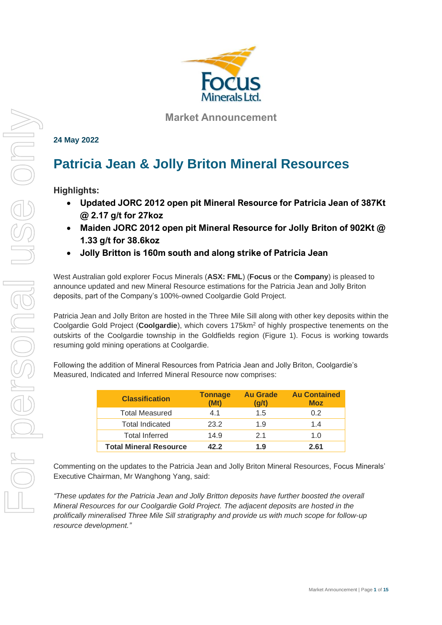

**Market Announcement**

**24 May 2022**

# **Patricia Jean & Jolly Briton Mineral Resources**

**Highlights:**

- **Updated JORC 2012 open pit Mineral Resource for Patricia Jean of 387Kt @ 2.17 g/t for 27koz**
- **Maiden JORC 2012 open pit Mineral Resource for Jolly Briton of 902Kt @ 1.33 g/t for 38.6koz**
- **Jolly Britton is 160m south and along strike of Patricia Jean**

West Australian gold explorer Focus Minerals (**ASX: FML**) (**Focus** or the **Company**) is pleased to announce updated and new Mineral Resource estimations for the Patricia Jean and Jolly Briton deposits, part of the Company's 100%-owned Coolgardie Gold Project.

Patricia Jean and Jolly Briton are hosted in the Three Mile Sill along with other key deposits within the Coolgardie Gold Project (**Coolgardie**), which covers 175km<sup>2</sup> of highly prospective tenements on the outskirts of the Coolgardie township in the Goldfields region (Figure 1). Focus is working towards resuming gold mining operations at Coolgardie.

Following the addition of Mineral Resources from Patricia Jean and Jolly Briton, Coolgardie's Measured, Indicated and Inferred Mineral Resource now comprises:

| <b>Classification</b>         | <b>Tonnage</b><br>(Mt) | <b>Au Grade</b><br>(g/t) | <b>Au Contained</b><br><b>Moz</b> |
|-------------------------------|------------------------|--------------------------|-----------------------------------|
| <b>Total Measured</b>         | 41                     | 1.5                      | 0.2                               |
| <b>Total Indicated</b>        | 23.2                   | 1.9                      | 1.4                               |
| <b>Total Inferred</b>         | 14.9                   | 21                       | 1. $\Omega$                       |
| <b>Total Mineral Resource</b> | 42.2                   | 1.9                      | 2.61                              |

Commenting on the updates to the Patricia Jean and Jolly Briton Mineral Resources, Focus Minerals' Executive Chairman, Mr Wanghong Yang, said:

*"These updates for the Patricia Jean and Jolly Britton deposits have further boosted the overall Mineral Resources for our Coolgardie Gold Project. The adjacent deposits are hosted in the prolifically mineralised Three Mile Sill stratigraphy and provide us with much scope for follow-up resource development."*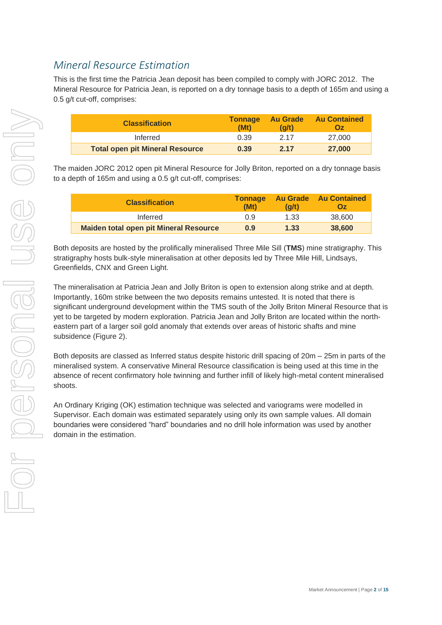### *Mineral Resource Estimation*

This is the first time the Patricia Jean deposit has been compiled to comply with JORC 2012. The Mineral Resource for Patricia Jean, is reported on a dry tonnage basis to a depth of 165m and using a 0.5 g/t cut-off, comprises:

| <b>Classification</b>                  | <b>Tonnage</b><br>(Mt) | <b>Au Grade</b><br>(a/t) | <b>Au Contained</b><br><b>Oz</b> |
|----------------------------------------|------------------------|--------------------------|----------------------------------|
| Inferred                               | 0.39                   | 2 17                     | 27.000                           |
| <b>Total open pit Mineral Resource</b> | 0.39                   | 2.17                     | 27,000                           |

The maiden JORC 2012 open pit Mineral Resource for Jolly Briton, reported on a dry tonnage basis to a depth of 165m and using a 0.5 g/t cut-off, comprises:

| <b>Classification</b>                         | <b>Tonnage</b><br>(Mt) | <b>Au Grade</b><br>(a/t) | <b>Au Contained</b><br><b>Oz</b> |
|-----------------------------------------------|------------------------|--------------------------|----------------------------------|
| Inferred                                      | 0.9                    | 1.33                     | 38.600                           |
| <b>Maiden total open pit Mineral Resource</b> | 0.9                    | 1.33                     | 38,600                           |

Both deposits are hosted by the prolifically mineralised Three Mile Sill (**TMS**) mine stratigraphy. This stratigraphy hosts bulk-style mineralisation at other deposits led by Three Mile Hill, Lindsays, Greenfields, CNX and Green Light.

The mineralisation at Patricia Jean and Jolly Briton is open to extension along strike and at depth. Importantly, 160m strike between the two deposits remains untested. It is noted that there is significant underground development within the TMS south of the Jolly Briton Mineral Resource that is yet to be targeted by modern exploration. Patricia Jean and Jolly Briton are located within the northeastern part of a larger soil gold anomaly that extends over areas of historic shafts and mine subsidence (Figure 2).

Both deposits are classed as Inferred status despite historic drill spacing of 20m – 25m in parts of the mineralised system. A conservative Mineral Resource classification is being used at this time in the absence of recent confirmatory hole twinning and further infill of likely high-metal content mineralised shoots.

An Ordinary Kriging (OK) estimation technique was selected and variograms were modelled in Supervisor. Each domain was estimated separately using only its own sample values. All domain boundaries were considered "hard" boundaries and no drill hole information was used by another domain in the estimation.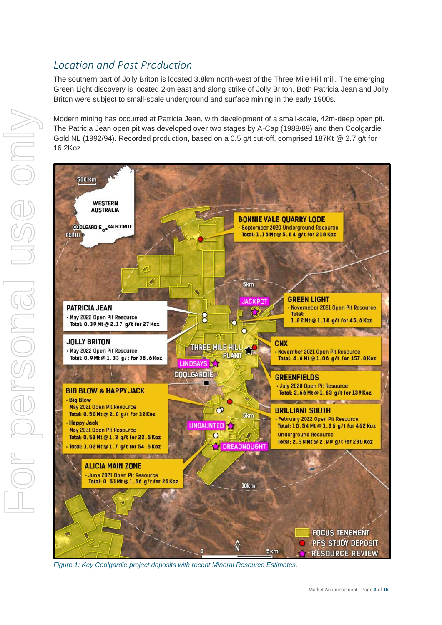### *Location and Past Production*

The southern part of Jolly Briton is located 3.8km north-west of the Three Mile Hill mill. The emerging Green Light discovery is located 2km east and along strike of Jolly Briton. Both Patricia Jean and Jolly Briton were subject to small-scale underground and surface mining in the early 1900s.

Modern mining has occurred at Patricia Jean, with development of a small-scale, 42m-deep open pit. The Patricia Jean open pit was developed over two stages by A-Cap (1988/89) and then Coolgardie Gold NL (1992/94). Recorded production, based on a 0.5 g/t cut-off, comprised 187Kt @ 2.7 g/t for 16.2Koz.



*Figure 1: Key Coolgardie project deposits with recent Mineral Resource Estimates.*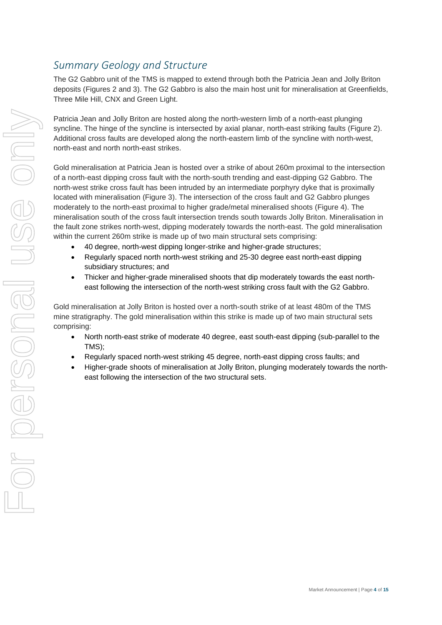### *Summary Geology and Structure*

The G2 Gabbro unit of the TMS is mapped to extend through both the Patricia Jean and Jolly Briton deposits (Figures 2 and 3). The G2 Gabbro is also the main host unit for mineralisation at Greenfields, Three Mile Hill, CNX and Green Light.

Patricia Jean and Jolly Briton are hosted along the north-western limb of a north-east plunging syncline. The hinge of the syncline is intersected by axial planar, north-east striking faults (Figure 2). Additional cross faults are developed along the north-eastern limb of the syncline with north-west, north-east and north north-east strikes.

Gold mineralisation at Patricia Jean is hosted over a strike of about 260m proximal to the intersection of a north-east dipping cross fault with the north-south trending and east-dipping G2 Gabbro. The north-west strike cross fault has been intruded by an intermediate porphyry dyke that is proximally located with mineralisation (Figure 3). The intersection of the cross fault and G2 Gabbro plunges moderately to the north-east proximal to higher grade/metal mineralised shoots (Figure 4). The mineralisation south of the cross fault intersection trends south towards Jolly Briton. Mineralisation in the fault zone strikes north-west, dipping moderately towards the north-east. The gold mineralisation within the current 260m strike is made up of two main structural sets comprising:

- 40 degree, north-west dipping longer-strike and higher-grade structures;
- Regularly spaced north north-west striking and 25-30 degree east north-east dipping subsidiary structures; and
- Thicker and higher-grade mineralised shoots that dip moderately towards the east northeast following the intersection of the north-west striking cross fault with the G2 Gabbro.

Gold mineralisation at Jolly Briton is hosted over a north-south strike of at least 480m of the TMS mine stratigraphy. The gold mineralisation within this strike is made up of two main structural sets comprising:

- North north-east strike of moderate 40 degree, east south-east dipping (sub-parallel to the TMS);
- Regularly spaced north-west striking 45 degree, north-east dipping cross faults; and
- Higher-grade shoots of mineralisation at Jolly Briton, plunging moderately towards the northeast following the intersection of the two structural sets.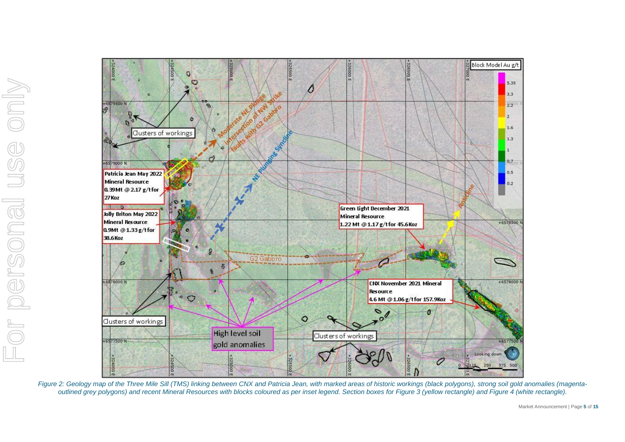

Figure 2: Geology map of the Three Mile Sill (TMS) linking between CNX and Patricia Jean, with marked areas of historic workings (black polygons), strong soil gold anomalies (magenta*outlined grey polygons) and recent Mineral Resources with blocks coloured as per inset legend. Section boxes for Figure 3 (yellow rectangle) and Figure 4 (white rectangle).*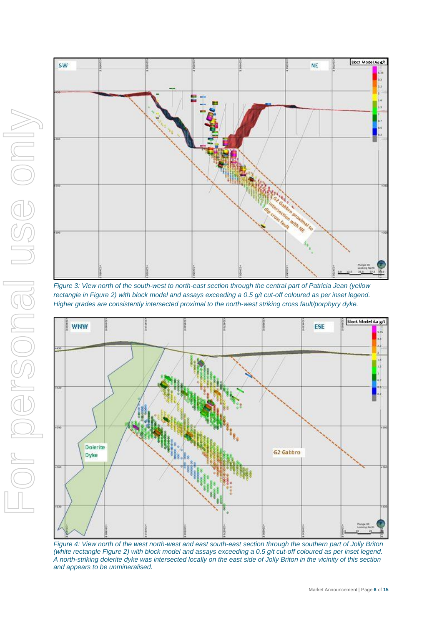



*Figure 3: View north of the south-west to north-east section through the central part of Patricia Jean (yellow rectangle in Figure 2) with block model and assays exceeding a 0.5 g/t cut-off coloured as per inset legend. Higher grades are consistently intersected proximal to the north-west striking cross fault/porphyry dyke.*



*Figure 4: View north of the west north-west and east south-east section through the southern part of Jolly Briton (white rectangle Figure 2) with block model and assays exceeding a 0.5 g/t cut-off coloured as per inset legend. A north-striking dolerite dyke was intersected locally on the east side of Jolly Briton in the vicinity of this section and appears to be unmineralised.*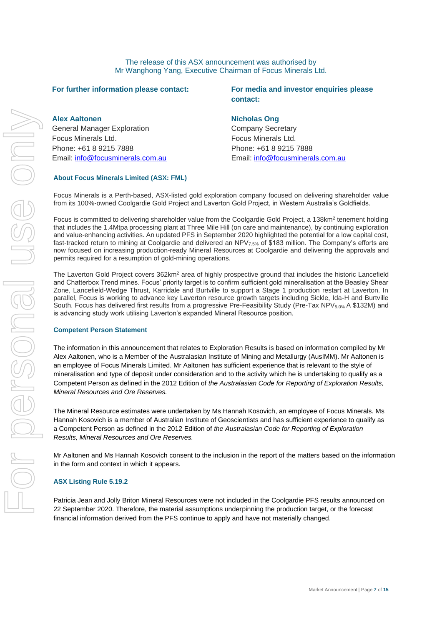The release of this ASX announcement was authorised by Mr Wanghong Yang, Executive Chairman of Focus Minerals Ltd.

#### **For further information please contact:**

**Alex Aaltonen**

General Manager Exploration Focus Minerals Ltd. Phone: +61 8 9215 7888 Email: [info@focusminerals.com.au](mailto:info@focusminerals.com.au)

#### **For media and investor enquiries please contact:**

#### **Nicholas Ong**

Company Secretary Focus Minerals Ltd. Phone: +61 8 9215 7888 Email: [info@focusminerals.com.au](mailto:info@focusminerals.com.au)

#### **About Focus Minerals Limited (ASX: FML)**

Focus Minerals is a Perth-based, ASX-listed gold exploration company focused on delivering shareholder value from its 100%-owned Coolgardie Gold Project and Laverton Gold Project, in Western Australia's Goldfields.

Focus is committed to delivering shareholder value from the Coolgardie Gold Project, a 138km<sup>2</sup> tenement holding that includes the 1.4Mtpa processing plant at Three Mile Hill (on care and maintenance), by continuing exploration and value-enhancing activities. An updated PFS in September 2020 highlighted the potential for a low capital cost, fast-tracked return to mining at Coolgardie and delivered an NPV7.5% of \$183 million. The Company's efforts are now focused on increasing production-ready Mineral Resources at Coolgardie and delivering the approvals and permits required for a resumption of gold-mining operations.

The Laverton Gold Project covers 362km<sup>2</sup> area of highly prospective ground that includes the historic Lancefield and Chatterbox Trend mines. Focus' priority target is to confirm sufficient gold mineralisation at the Beasley Shear Zone, Lancefield-Wedge Thrust, Karridale and Burtville to support a Stage 1 production restart at Laverton. In parallel, Focus is working to advance key Laverton resource growth targets including Sickle, Ida-H and Burtville South. Focus has delivered first results from a progressive Pre-Feasibility Study (Pre-Tax NPV<sub>5.0%</sub> A \$132M) and is advancing study work utilising Laverton's expanded Mineral Resource position.

#### **Competent Person Statement**

The information in this announcement that relates to Exploration Results is based on information compiled by Mr Alex Aaltonen, who is a Member of the Australasian Institute of Mining and Metallurgy (AusIMM). Mr Aaltonen is an employee of Focus Minerals Limited. Mr Aaltonen has sufficient experience that is relevant to the style of mineralisation and type of deposit under consideration and to the activity which he is undertaking to qualify as a Competent Person as defined in the 2012 Edition of *the Australasian Code for Reporting of Exploration Results, Mineral Resources and Ore Reserves.*

The Mineral Resource estimates were undertaken by Ms Hannah Kosovich, an employee of Focus Minerals. Ms Hannah Kosovich is a member of Australian Institute of Geoscientists and has sufficient experience to qualify as a Competent Person as defined in the 2012 Edition of *the Australasian Code for Reporting of Exploration Results, Mineral Resources and Ore Reserves.*

Mr Aaltonen and Ms Hannah Kosovich consent to the inclusion in the report of the matters based on the information in the form and context in which it appears.

#### **ASX Listing Rule 5.19.2**

Patricia Jean and Jolly Briton Mineral Resources were not included in the Coolgardie PFS results announced on 22 September 2020. Therefore, the material assumptions underpinning the production target, or the forecast financial information derived from the PFS continue to apply and have not materially changed.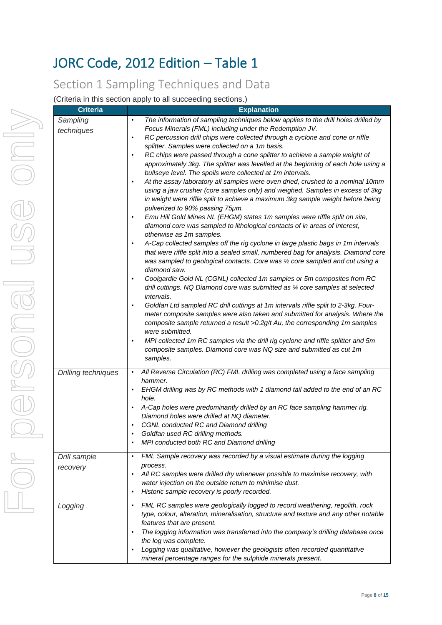# JORC Code, 2012 Edition – Table 1

# Section 1 Sampling Techniques and Data

(Criteria in this section apply to all succeeding sections.)

| <b>Criteria</b>          | <b>Explanation</b>                                                                                                                                                                                                                                                                                                                                                                                                                                                                                                                                                                                                                                                                                                                                                                                                                                                                                                                                                                                                                                                                                                                                                                                                                                                                                                                                                                                                                                                                                                                                                                                                                                                                                                                                                                                                                                                                                                                                                                                                       |
|--------------------------|--------------------------------------------------------------------------------------------------------------------------------------------------------------------------------------------------------------------------------------------------------------------------------------------------------------------------------------------------------------------------------------------------------------------------------------------------------------------------------------------------------------------------------------------------------------------------------------------------------------------------------------------------------------------------------------------------------------------------------------------------------------------------------------------------------------------------------------------------------------------------------------------------------------------------------------------------------------------------------------------------------------------------------------------------------------------------------------------------------------------------------------------------------------------------------------------------------------------------------------------------------------------------------------------------------------------------------------------------------------------------------------------------------------------------------------------------------------------------------------------------------------------------------------------------------------------------------------------------------------------------------------------------------------------------------------------------------------------------------------------------------------------------------------------------------------------------------------------------------------------------------------------------------------------------------------------------------------------------------------------------------------------------|
| Sampling<br>techniques   | The information of sampling techniques below applies to the drill holes drilled by<br>$\bullet$<br>Focus Minerals (FML) including under the Redemption JV.<br>RC percussion drill chips were collected through a cyclone and cone or riffle<br>$\bullet$<br>splitter. Samples were collected on a 1m basis.<br>RC chips were passed through a cone splitter to achieve a sample weight of<br>$\bullet$<br>approximately 3kg. The splitter was levelled at the beginning of each hole using a<br>bullseye level. The spoils were collected at 1m intervals.<br>At the assay laboratory all samples were oven dried, crushed to a nominal 10mm<br>$\bullet$<br>using a jaw crusher (core samples only) and weighed. Samples in excess of 3kg<br>in weight were riffle split to achieve a maximum 3kg sample weight before being<br>pulverized to 90% passing 75um.<br>Emu Hill Gold Mines NL (EHGM) states 1m samples were riffle split on site,<br>$\bullet$<br>diamond core was sampled to lithological contacts of in areas of interest,<br>otherwise as 1m samples.<br>A-Cap collected samples off the rig cyclone in large plastic bags in 1m intervals<br>$\bullet$<br>that were riffle split into a sealed small, numbered bag for analysis. Diamond core<br>was sampled to geological contacts. Core was 1/2 core sampled and cut using a<br>diamond saw.<br>Coolgardie Gold NL (CGNL) collected 1m samples or 5m composites from RC<br>$\bullet$<br>drill cuttings. NQ Diamond core was submitted as 1/4 core samples at selected<br>intervals.<br>Goldfan Ltd sampled RC drill cuttings at 1m intervals riffle split to 2-3kg. Four-<br>٠<br>meter composite samples were also taken and submitted for analysis. Where the<br>composite sample returned a result >0.2g/t Au, the corresponding 1m samples<br>were submitted.<br>MPI collected 1m RC samples via the drill rig cyclone and riffle splitter and 5m<br>$\bullet$<br>composite samples. Diamond core was NQ size and submitted as cut 1m<br>samples. |
| Drilling techniques      | All Reverse Circulation (RC) FML drilling was completed using a face sampling<br>$\bullet$<br>hammer.<br>EHGM drilling was by RC methods with 1 diamond tail added to the end of an RC<br>hole.<br>A-Cap holes were predominantly drilled by an RC face sampling hammer rig.<br>Diamond holes were drilled at NQ diameter.<br><b>CGNL conducted RC and Diamond drilling</b><br>Goldfan used RC drilling methods.<br>$\bullet$<br>MPI conducted both RC and Diamond drilling                                                                                                                                                                                                                                                                                                                                                                                                                                                                                                                                                                                                                                                                                                                                                                                                                                                                                                                                                                                                                                                                                                                                                                                                                                                                                                                                                                                                                                                                                                                                              |
| Drill sample<br>recovery | FML Sample recovery was recorded by a visual estimate during the logging<br>$\bullet$<br>process.<br>All RC samples were drilled dry whenever possible to maximise recovery, with<br>$\bullet$<br>water injection on the outside return to minimise dust.<br>Historic sample recovery is poorly recorded.<br>$\bullet$                                                                                                                                                                                                                                                                                                                                                                                                                                                                                                                                                                                                                                                                                                                                                                                                                                                                                                                                                                                                                                                                                                                                                                                                                                                                                                                                                                                                                                                                                                                                                                                                                                                                                                   |
| Logging                  | FML RC samples were geologically logged to record weathering, regolith, rock<br>$\bullet$<br>type, colour, alteration, mineralisation, structure and texture and any other notable<br>features that are present.<br>The logging information was transferred into the company's drilling database once<br>the log was complete.<br>Logging was qualitative, however the geologists often recorded quantitative<br>$\bullet$<br>mineral percentage ranges for the sulphide minerals present.                                                                                                                                                                                                                                                                                                                                                                                                                                                                                                                                                                                                                                                                                                                                                                                                                                                                                                                                                                                                                                                                                                                                                                                                                                                                                                                                                                                                                                                                                                                               |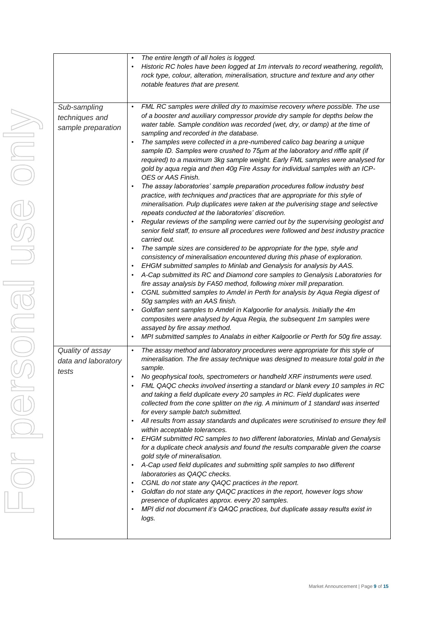|                                                      | The entire length of all holes is logged.<br>$\bullet$<br>Historic RC holes have been logged at 1m intervals to record weathering, regolith,<br>rock type, colour, alteration, mineralisation, structure and texture and any other<br>notable features that are present.                                                                                                                                                                                                                                                                                                                                                                                                                                                                                                                                                                                                                                                                                                                                                                                                                                                                                                                                                                                                                                                                                                                                                                                                                                                                                                                                                                                                                                                                                                                                                                                                                                                                                                                        |
|------------------------------------------------------|-------------------------------------------------------------------------------------------------------------------------------------------------------------------------------------------------------------------------------------------------------------------------------------------------------------------------------------------------------------------------------------------------------------------------------------------------------------------------------------------------------------------------------------------------------------------------------------------------------------------------------------------------------------------------------------------------------------------------------------------------------------------------------------------------------------------------------------------------------------------------------------------------------------------------------------------------------------------------------------------------------------------------------------------------------------------------------------------------------------------------------------------------------------------------------------------------------------------------------------------------------------------------------------------------------------------------------------------------------------------------------------------------------------------------------------------------------------------------------------------------------------------------------------------------------------------------------------------------------------------------------------------------------------------------------------------------------------------------------------------------------------------------------------------------------------------------------------------------------------------------------------------------------------------------------------------------------------------------------------------------|
| Sub-sampling<br>techniques and<br>sample preparation | FML RC samples were drilled dry to maximise recovery where possible. The use<br>$\bullet$<br>of a booster and auxiliary compressor provide dry sample for depths below the<br>water table. Sample condition was recorded (wet, dry, or damp) at the time of<br>sampling and recorded in the database.<br>The samples were collected in a pre-numbered calico bag bearing a unique<br>$\bullet$<br>sample ID. Samples were crushed to 75µm at the laboratory and riffle split (if<br>required) to a maximum 3kg sample weight. Early FML samples were analysed for<br>gold by aqua regia and then 40g Fire Assay for individual samples with an ICP-<br>OES or AAS Finish.<br>The assay laboratories' sample preparation procedures follow industry best<br>$\bullet$<br>practice, with techniques and practices that are appropriate for this style of<br>mineralisation. Pulp duplicates were taken at the pulverising stage and selective<br>repeats conducted at the laboratories' discretion.<br>Regular reviews of the sampling were carried out by the supervising geologist and<br>senior field staff, to ensure all procedures were followed and best industry practice<br>carried out.<br>The sample sizes are considered to be appropriate for the type, style and<br>consistency of mineralisation encountered during this phase of exploration.<br>EHGM submitted samples to Minlab and Genalysis for analysis by AAS.<br>A-Cap submitted its RC and Diamond core samples to Genalysis Laboratories for<br>fire assay analysis by FA50 method, following mixer mill preparation.<br>CGNL submitted samples to Amdel in Perth for analysis by Aqua Regia digest of<br>50g samples with an AAS finish.<br>Goldfan sent samples to Amdel in Kalgoorlie for analysis. Initially the 4m<br>composites were analysed by Aqua Regia, the subsequent 1m samples were<br>assayed by fire assay method.<br>MPI submitted samples to Analabs in either Kalgoorlie or Perth for 50g fire assay. |
| Quality of assay<br>data and laboratory<br>tests     | The assay method and laboratory procedures were appropriate for this style of<br>$\bullet$<br>mineralisation. The fire assay technique was designed to measure total gold in the<br>sample.<br>No geophysical tools, spectrometers or handheld XRF instruments were used.<br>FML QAQC checks involved inserting a standard or blank every 10 samples in RC<br>and taking a field duplicate every 20 samples in RC. Field duplicates were<br>collected from the cone splitter on the rig. A minimum of 1 standard was inserted<br>for every sample batch submitted.<br>All results from assay standards and duplicates were scrutinised to ensure they fell<br>within acceptable tolerances.<br>EHGM submitted RC samples to two different laboratories, Minlab and Genalysis<br>for a duplicate check analysis and found the results comparable given the coarse<br>gold style of mineralisation.<br>A-Cap used field duplicates and submitting split samples to two different<br>laboratories as QAQC checks.<br>CGNL do not state any QAQC practices in the report.<br>Goldfan do not state any QAQC practices in the report, however logs show<br>presence of duplicates approx. every 20 samples.<br>MPI did not document it's QAQC practices, but duplicate assay results exist in<br>logs.                                                                                                                                                                                                                                                                                                                                                                                                                                                                                                                                                                                                                                                                                                |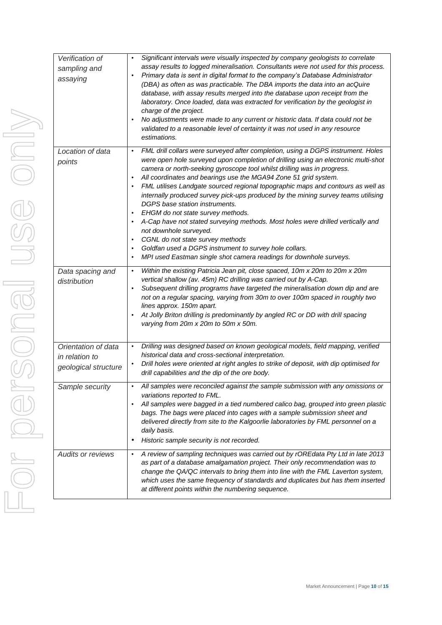| Verification of<br>sampling and<br>assaying                   | Significant intervals were visually inspected by company geologists to correlate<br>$\bullet$<br>assay results to logged mineralisation. Consultants were not used for this process.<br>Primary data is sent in digital format to the company's Database Administrator<br>(DBA) as often as was practicable. The DBA imports the data into an acQuire<br>database, with assay results merged into the database upon receipt from the<br>laboratory. Once loaded, data was extracted for verification by the geologist in<br>charge of the project.<br>No adjustments were made to any current or historic data. If data could not be<br>validated to a reasonable level of certainty it was not used in any resource<br>estimations.                                                                                                                                           |
|---------------------------------------------------------------|--------------------------------------------------------------------------------------------------------------------------------------------------------------------------------------------------------------------------------------------------------------------------------------------------------------------------------------------------------------------------------------------------------------------------------------------------------------------------------------------------------------------------------------------------------------------------------------------------------------------------------------------------------------------------------------------------------------------------------------------------------------------------------------------------------------------------------------------------------------------------------|
| Location of data<br>points                                    | FML drill collars were surveyed after completion, using a DGPS instrument. Holes<br>$\bullet$<br>were open hole surveyed upon completion of drilling using an electronic multi-shot<br>camera or north-seeking gyroscope tool whilst drilling was in progress.<br>All coordinates and bearings use the MGA94 Zone 51 grid system.<br>FML utilises Landgate sourced regional topographic maps and contours as well as<br>internally produced survey pick-ups produced by the mining survey teams utilising<br>DGPS base station instruments.<br>EHGM do not state survey methods.<br>A-Cap have not stated surveying methods. Most holes were drilled vertically and<br>not downhole surveyed.<br>CGNL do not state survey methods<br>Goldfan used a DGPS instrument to survey hole collars.<br>MPI used Eastman single shot camera readings for downhole surveys.<br>$\bullet$ |
| Data spacing and<br>distribution                              | Within the existing Patricia Jean pit, close spaced, 10m x 20m to 20m x 20m<br>$\bullet$<br>vertical shallow (av. 45m) RC drilling was carried out by A-Cap.<br>Subsequent drilling programs have targeted the mineralisation down dip and are<br>not on a regular spacing, varying from 30m to over 100m spaced in roughly two<br>lines approx. 150m apart.<br>At Jolly Briton drilling is predominantly by angled RC or DD with drill spacing<br>varying from 20m x 20m to 50m x 50m.                                                                                                                                                                                                                                                                                                                                                                                        |
| Orientation of data<br>in relation to<br>geological structure | Drilling was designed based on known geological models, field mapping, verified<br>$\bullet$<br>historical data and cross-sectional interpretation.<br>Drill holes were oriented at right angles to strike of deposit, with dip optimised for<br>drill capabilities and the dip of the ore body.                                                                                                                                                                                                                                                                                                                                                                                                                                                                                                                                                                               |
| Sample security                                               | All samples were reconciled against the sample submission with any omissions or<br>variations reported to FML.<br>All samples were bagged in a tied numbered calico bag, grouped into green plastic<br>bags. The bags were placed into cages with a sample submission sheet and<br>delivered directly from site to the Kalgoorlie laboratories by FML personnel on a<br>daily basis.<br>Historic sample security is not recorded.<br>٠                                                                                                                                                                                                                                                                                                                                                                                                                                         |
| <b>Audits or reviews</b>                                      | A review of sampling techniques was carried out by rOREdata Pty Ltd in late 2013<br>$\bullet$<br>as part of a database amalgamation project. Their only recommendation was to<br>change the QA/QC intervals to bring them into line with the FML Laverton system,<br>which uses the same frequency of standards and duplicates but has them inserted<br>at different points within the numbering sequence.                                                                                                                                                                                                                                                                                                                                                                                                                                                                     |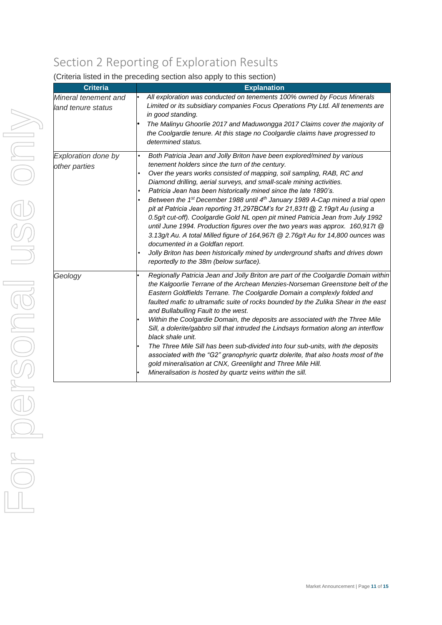# Section 2 Reporting of Exploration Results

| <b>Criteria</b>                            | <b>Explanation</b>                                                                                                                                                                                                                                                                                                                                                                                                                                                                                                                                                                                                                                                                                                                                                                                                                                                                                                                                              |
|--------------------------------------------|-----------------------------------------------------------------------------------------------------------------------------------------------------------------------------------------------------------------------------------------------------------------------------------------------------------------------------------------------------------------------------------------------------------------------------------------------------------------------------------------------------------------------------------------------------------------------------------------------------------------------------------------------------------------------------------------------------------------------------------------------------------------------------------------------------------------------------------------------------------------------------------------------------------------------------------------------------------------|
| Mineral tenement and<br>land tenure status | All exploration was conducted on tenements 100% owned by Focus Minerals<br>Limited or its subsidiary companies Focus Operations Pty Ltd. All tenements are<br>in good standing.<br>The Malinyu Ghoorlie 2017 and Maduwongga 2017 Claims cover the majority of<br>the Coolgardie tenure. At this stage no Coolgardie claims have progressed to<br>determined status.                                                                                                                                                                                                                                                                                                                                                                                                                                                                                                                                                                                             |
| Exploration done by<br>other parties       | Both Patricia Jean and Jolly Briton have been explored/mined by various<br>tenement holders since the turn of the century.<br>Over the years works consisted of mapping, soil sampling, RAB, RC and<br>Diamond drilling, aerial surveys, and small-scale mining activities.<br>Patricia Jean has been historically mined since the late 1890's.<br>Between the 1 <sup>st</sup> December 1988 until 4 <sup>th</sup> January 1989 A-Cap mined a trial open<br>pit at Patricia Jean reporting 31,297BCM's for 21,831t @ 2.19g/t Au (using a<br>0.5g/t cut-off). Coolgardie Gold NL open pit mined Patricia Jean from July 1992<br>until June 1994. Production figures over the two years was approx. 160,917t @<br>3.13g/t Au. A total Milled figure of 164,967t @ 2.76g/t Au for 14,800 ounces was<br>documented in a Goldfan report.<br>Jolly Briton has been historically mined by underground shafts and drives down<br>reportedly to the 38m (below surface). |
| Geology                                    | Regionally Patricia Jean and Jolly Briton are part of the Coolgardie Domain within<br>the Kalgoorlie Terrane of the Archean Menzies-Norseman Greenstone belt of the<br>Eastern Goldfields Terrane. The Coolgardie Domain a complexly folded and<br>faulted mafic to ultramafic suite of rocks bounded by the Zulika Shear in the east<br>and Bullabulling Fault to the west.<br>Within the Coolgardie Domain, the deposits are associated with the Three Mile<br>Sill, a dolerite/gabbro sill that intruded the Lindsays formation along an interflow<br>black shale unit.<br>The Three Mile Sill has been sub-divided into four sub-units, with the deposits<br>associated with the "G2" granophyric quartz dolerite, that also hosts most of the<br>gold mineralisation at CNX, Greenlight and Three Mile Hill.<br>Mineralisation is hosted by quartz veins within the sill.                                                                                  |

### (Criteria listed in the preceding section also apply to this section)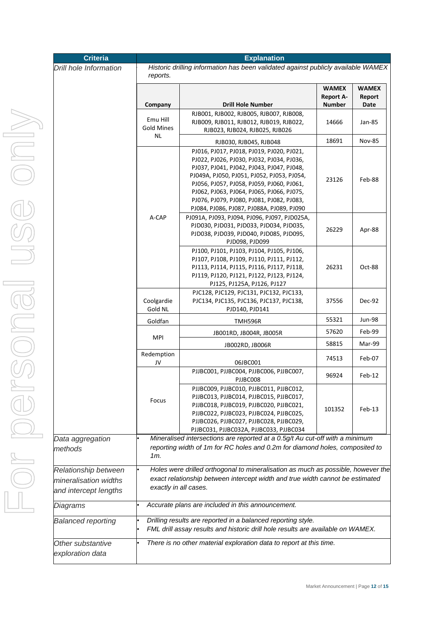| Criteria                                                               |                                                                                                                                                                                            | <b>Explanation</b><br>Historic drilling information has been validated against publicly available WAMEX                                                                                                                                                                                                                                                               |                                                   |                                |
|------------------------------------------------------------------------|--------------------------------------------------------------------------------------------------------------------------------------------------------------------------------------------|-----------------------------------------------------------------------------------------------------------------------------------------------------------------------------------------------------------------------------------------------------------------------------------------------------------------------------------------------------------------------|---------------------------------------------------|--------------------------------|
| <b>Drill hole Information</b>                                          | reports.                                                                                                                                                                                   |                                                                                                                                                                                                                                                                                                                                                                       |                                                   |                                |
|                                                                        | Company                                                                                                                                                                                    | <b>Drill Hole Number</b>                                                                                                                                                                                                                                                                                                                                              | <b>WAMEX</b><br><b>Report A-</b><br><b>Number</b> | <b>WAMEX</b><br>Report<br>Date |
|                                                                        | Emu Hill<br><b>Gold Mines</b>                                                                                                                                                              | RJB001, RJB002, RJB005, RJB007, RJB008,<br>RJB009, RJB011, RJB012, RJB019, RJB022,<br>RJB023, RJB024, RJB025, RJB026                                                                                                                                                                                                                                                  | 14666                                             | Jan-85                         |
|                                                                        | NL                                                                                                                                                                                         | RJB030, RJB045, RJB048                                                                                                                                                                                                                                                                                                                                                | 18691                                             | <b>Nov-85</b>                  |
|                                                                        |                                                                                                                                                                                            | PJ016, PJ017, PJ018, PJ019, PJ020, PJ021,<br>PJ022, PJ026, PJ030, PJ032, PJ034, PJ036,<br>PJ037, PJ041, PJ042, PJ043, PJ047, PJ048,<br>PJ049A, PJ050, PJ051, PJ052, PJ053, PJ054,<br>PJ056, PJ057, PJ058, PJ059, PJ060, PJ061,<br>PJ062, PJ063, PJ064, PJ065, PJ066, PJ075,<br>PJ076, PJ079, PJ080, PJ081, PJ082, PJ083,<br>PJ084, PJ086, PJ087, PJ088A, PJ089, PJ090 | 23126                                             | Feb-88                         |
|                                                                        | A-CAP                                                                                                                                                                                      | PJ091A, PJ093, PJ094, PJ096, PJ097, PJD025A,<br>PJD030, PJD031, PJD033, PJD034, PJD035,<br>PJD038, PJD039, PJD040, PJD085, PJD095,<br>PJD098, PJD099                                                                                                                                                                                                                  | 26229                                             | Apr-88                         |
|                                                                        |                                                                                                                                                                                            | PJ100, PJ101, PJ103, PJ104, PJ105, PJ106,<br>PJ107, PJ108, PJ109, PJ110, PJ111, PJ112,<br>PJ113, PJ114, PJ115, PJ116, PJ117, PJ118,<br>PJ119, PJ120, PJ121, PJ122, PJ123, PJ124,<br>PJ125, PJ125A, PJ126, PJ127                                                                                                                                                       | 26231                                             | Oct-88                         |
|                                                                        | Coolgardie<br>Gold NL                                                                                                                                                                      | PJC128, PJC129, PJC131, PJC132, PJC133,<br>PJC134, PJC135, PJC136, PJC137, PJC138,<br>PJD140, PJD141                                                                                                                                                                                                                                                                  | 37556                                             | Dec-92                         |
|                                                                        | Goldfan                                                                                                                                                                                    | <b>TMH596R</b>                                                                                                                                                                                                                                                                                                                                                        | 55321                                             | <b>Jun-98</b>                  |
|                                                                        |                                                                                                                                                                                            | JB001RD, JB004R, JB005R                                                                                                                                                                                                                                                                                                                                               | 57620                                             | Feb-99                         |
|                                                                        | <b>MPI</b>                                                                                                                                                                                 | JB002RD, JB006R                                                                                                                                                                                                                                                                                                                                                       | 58815                                             | Mar-99                         |
|                                                                        | Redemption<br>JV                                                                                                                                                                           | 06JBC001                                                                                                                                                                                                                                                                                                                                                              | 74513                                             | Feb-07                         |
|                                                                        |                                                                                                                                                                                            | PJJBC001, PJJBC004, PJJBC006, PJJBC007,<br>PJJBC008                                                                                                                                                                                                                                                                                                                   | 96924                                             | $Feb-12$                       |
|                                                                        | Focus                                                                                                                                                                                      | PJJBC009, PJJBC010, PJJBC011, PJJBC012,<br>PJJBC013, PJJBC014, PJJBC015, PJJBC017,<br>PJJBC018, PJJBC019, PJJBC020, PJJBC021,<br>PJJBC022, PJJBC023, PJJBC024, PJJBC025,<br>PJJBC026, PJJBC027, PJJBC028, PJJBC029,<br>PJJBC031, PJJBC032A, PJJBC033, PJJBC034                                                                                                        | 101352                                            | Feb-13                         |
| Data aggregation<br>methods                                            | $1m$ .                                                                                                                                                                                     | Mineralised intersections are reported at a 0.5g/t Au cut-off with a minimum<br>reporting width of 1m for RC holes and 0.2m for diamond holes, composited to                                                                                                                                                                                                          |                                                   |                                |
| Relationship between<br>mineralisation widths<br>and intercept lengths | Holes were drilled orthogonal to mineralisation as much as possible, however the<br>exact relationship between intercept width and true width cannot be estimated<br>exactly in all cases. |                                                                                                                                                                                                                                                                                                                                                                       |                                                   |                                |
| Diagrams                                                               |                                                                                                                                                                                            | Accurate plans are included in this announcement.                                                                                                                                                                                                                                                                                                                     |                                                   |                                |
| <b>Balanced reporting</b>                                              |                                                                                                                                                                                            | Drilling results are reported in a balanced reporting style.<br>FML drill assay results and historic drill hole results are available on WAMEX.                                                                                                                                                                                                                       |                                                   |                                |
| Other substantive<br>exploration data                                  |                                                                                                                                                                                            | There is no other material exploration data to report at this time.                                                                                                                                                                                                                                                                                                   |                                                   |                                |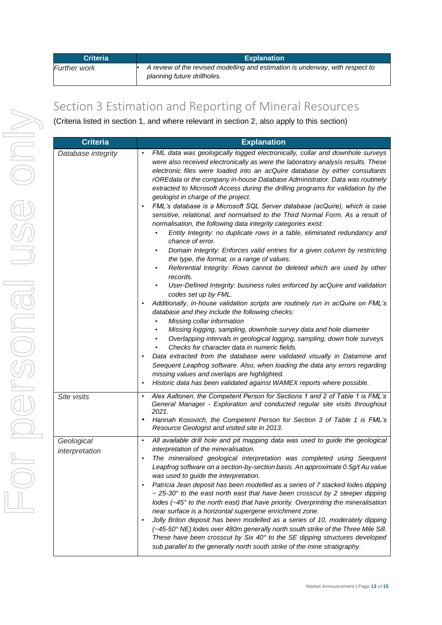| <b>Criteria</b> | <b>Explanation</b>                                                                                           |
|-----------------|--------------------------------------------------------------------------------------------------------------|
| Further work    | A review of the revised modelling and estimation is underway, with respect to<br>planning future drillholes. |

## Section 3 Estimation and Reporting of Mineral Resources

(Criteria listed in section 1, and where relevant in section 2, also apply to this section)

| <b>Criteria</b>              | <b>Explanation</b>                                                                                                                                                                                                                                                                                                                                                                                                                                                                                                                                                                                                                                                                                                                                                                                                                                                                                                                                                                                                                                                                                                                                                                                                                                                                                                                                                                                                                                                                                                                                                                                                                                                                                                                                                                                                                                         |
|------------------------------|------------------------------------------------------------------------------------------------------------------------------------------------------------------------------------------------------------------------------------------------------------------------------------------------------------------------------------------------------------------------------------------------------------------------------------------------------------------------------------------------------------------------------------------------------------------------------------------------------------------------------------------------------------------------------------------------------------------------------------------------------------------------------------------------------------------------------------------------------------------------------------------------------------------------------------------------------------------------------------------------------------------------------------------------------------------------------------------------------------------------------------------------------------------------------------------------------------------------------------------------------------------------------------------------------------------------------------------------------------------------------------------------------------------------------------------------------------------------------------------------------------------------------------------------------------------------------------------------------------------------------------------------------------------------------------------------------------------------------------------------------------------------------------------------------------------------------------------------------------|
| Database integrity           | FML data was geologically logged electronically, collar and downhole surveys<br>$\bullet$<br>were also received electronically as were the laboratory analysis results. These<br>electronic files were loaded into an acQuire database by either consultants<br>rOREdata or the company in-house Database Administrator. Data was routinely<br>extracted to Microsoft Access during the drilling programs for validation by the<br>geologist in charge of the project.<br>FML's database is a Microsoft SQL Server database (acQuire), which is case<br>٠<br>sensitive, relational, and normalised to the Third Normal Form. As a result of<br>normalisation, the following data integrity categories exist:<br>Entity Integrity: no duplicate rows in a table, eliminated redundancy and<br>chance of error.<br>Domain Integrity: Enforces valid entries for a given column by restricting<br>٠<br>the type, the format, or a range of values.<br>Referential Integrity: Rows cannot be deleted which are used by other<br>٠<br>records.<br>User-Defined Integrity: business rules enforced by acQuire and validation<br>$\bullet$<br>codes set up by FML.<br>Additionally, in-house validation scripts are routinely run in acQuire on FML's<br>$\bullet$<br>database and they include the following checks:<br>Missing collar information<br>Missing logging, sampling, downhole survey data and hole diameter<br>٠<br>Overlapping intervals in geological logging, sampling, down hole surveys<br>Checks for character data in numeric fields.<br>Data extracted from the database were validated visually in Datamine and<br>٠<br>Seequent Leapfrog software. Also, when loading the data any errors regarding<br>missing values and overlaps are highlighted.<br>Historic data has been validated against WAMEX reports where possible.<br>$\bullet$ |
| Site visits                  | Alex Aaltonen, the Competent Person for Sections 1 and 2 of Table 1 is FML's<br>$\bullet$<br>General Manager - Exploration and conducted regular site visits throughout<br>2021.<br>Hannah Kosovich, the Competent Person for Section 3 of Table 1 is FML's<br>٠<br>Resource Geologist and visited site in 2013.                                                                                                                                                                                                                                                                                                                                                                                                                                                                                                                                                                                                                                                                                                                                                                                                                                                                                                                                                                                                                                                                                                                                                                                                                                                                                                                                                                                                                                                                                                                                           |
| Geological<br>interpretation | All available drill hole and pit mapping data was used to guide the geological<br>$\bullet$<br>interpretation of the mineralisation.<br>The mineralised geological interpretation was completed using Seequent<br>$\bullet$<br>Leapfrog software on a section-by-section basis. An approximate 0.5g/t Au value<br>was used to guide the interpretation.<br>Patricia Jean deposit has been modelled as a series of 7 stacked lodes dipping<br>$\bullet$<br>$\sim$ 25-30 $\degree$ to the east north east that have been crosscut by 2 steeper dipping<br>lodes (~45° to the north east) that have priority. Overprinting the mineralisation<br>near surface is a horizontal supergene enrichment zone.<br>Jolly Briton deposit has been modelled as a series of 10, moderately dipping<br>$\bullet$<br>(~45-50° NE) lodes over 480m generally north south strike of the Three Mile Sill.<br>These have been crosscut by Six 40 $^{\circ}$ to the SE dipping structures developed<br>sub parallel to the generally north south strike of the mine stratigraphy.                                                                                                                                                                                                                                                                                                                                                                                                                                                                                                                                                                                                                                                                                                                                                                                              |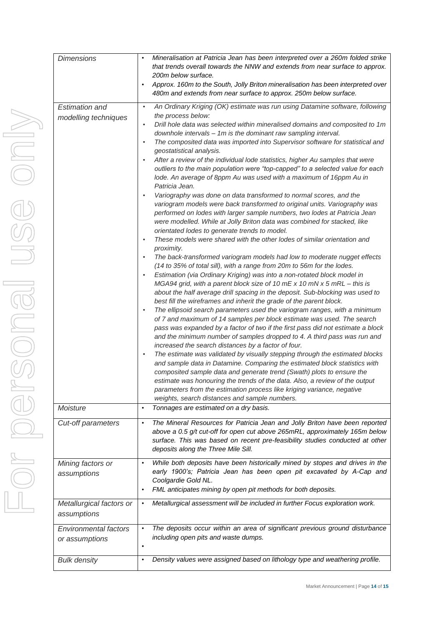| <b>Dimensions</b>                              | Mineralisation at Patricia Jean has been interpreted over a 260m folded strike<br>that trends overall towards the NNW and extends from near surface to approx.<br>200m below surface.<br>Approx. 160m to the South, Jolly Briton mineralisation has been interpreted over<br>$\bullet$<br>480m and extends from near surface to approx. 250m below surface.                                                                                                |
|------------------------------------------------|------------------------------------------------------------------------------------------------------------------------------------------------------------------------------------------------------------------------------------------------------------------------------------------------------------------------------------------------------------------------------------------------------------------------------------------------------------|
| <b>Estimation and</b><br>modelling techniques  | An Ordinary Kriging (OK) estimate was run using Datamine software, following<br>$\bullet$<br>the process below:                                                                                                                                                                                                                                                                                                                                            |
|                                                | Drill hole data was selected within mineralised domains and composited to 1m<br>$\bullet$<br>downhole intervals - 1m is the dominant raw sampling interval.<br>The composited data was imported into Supervisor software for statistical and<br>$\bullet$                                                                                                                                                                                                  |
|                                                | geostatistical analysis.<br>After a review of the individual lode statistics, higher Au samples that were<br>$\bullet$<br>outliers to the main population were "top-capped" to a selected value for each<br>lode. An average of 8ppm Au was used with a maximum of 16ppm Au in<br>Patricia Jean.                                                                                                                                                           |
|                                                | Variography was done on data transformed to normal scores, and the<br>$\bullet$<br>variogram models were back transformed to original units. Variography was<br>performed on lodes with larger sample numbers, two lodes at Patricia Jean<br>were modelled. While at Jolly Briton data was combined for stacked, like<br>orientated lodes to generate trends to model.                                                                                     |
|                                                | These models were shared with the other lodes of similar orientation and<br>$\bullet$<br>proximity.<br>The back-transformed variogram models had low to moderate nugget effects<br>$\bullet$                                                                                                                                                                                                                                                               |
|                                                | (14 to 35% of total sill), with a range from 20m to 56m for the lodes.<br>Estimation (via Ordinary Kriging) was into a non-rotated block model in<br>$\bullet$<br>MGA94 grid, with a parent block size of 10 mE x 10 mN x 5 mRL - this is<br>about the half average drill spacing in the deposit. Sub-blocking was used to<br>best fill the wireframes and inherit the grade of the parent block.                                                          |
|                                                | The ellipsoid search parameters used the variogram ranges, with a minimum<br>$\bullet$<br>of 7 and maximum of 14 samples per block estimate was used. The search<br>pass was expanded by a factor of two if the first pass did not estimate a block<br>and the minimum number of samples dropped to 4. A third pass was run and<br>increased the search distances by a factor of four.                                                                     |
|                                                | The estimate was validated by visually stepping through the estimated blocks<br>$\bullet$<br>and sample data in Datamine. Comparing the estimated block statistics with<br>composited sample data and generate trend (Swath) plots to ensure the<br>estimate was honouring the trends of the data. Also, a review of the output<br>parameters from the estimation process like kriging variance, negative<br>weights, search distances and sample numbers. |
| Moisture                                       | Tonnages are estimated on a dry basis.<br>$\bullet$                                                                                                                                                                                                                                                                                                                                                                                                        |
| Cut-off parameters                             | The Mineral Resources for Patricia Jean and Jolly Briton have been reported<br>$\bullet$<br>above a 0.5 g/t cut-off for open cut above 265mRL, approximately 165m below<br>surface. This was based on recent pre-feasibility studies conducted at other<br>deposits along the Three Mile Sill.                                                                                                                                                             |
| Mining factors or<br>assumptions               | While both deposits have been historically mined by stopes and drives in the<br>$\bullet$<br>early 1900's; Patricia Jean has been open pit excavated by A-Cap and<br>Coolgardie Gold NL.<br>FML anticipates mining by open pit methods for both deposits.<br>$\bullet$                                                                                                                                                                                     |
| Metallurgical factors or<br>assumptions        | Metallurgical assessment will be included in further Focus exploration work.<br>$\bullet$                                                                                                                                                                                                                                                                                                                                                                  |
| <b>Environmental factors</b><br>or assumptions | The deposits occur within an area of significant previous ground disturbance<br>$\bullet$<br>including open pits and waste dumps.<br>$\bullet$                                                                                                                                                                                                                                                                                                             |
| <b>Bulk density</b>                            | Density values were assigned based on lithology type and weathering profile.<br>$\bullet$                                                                                                                                                                                                                                                                                                                                                                  |